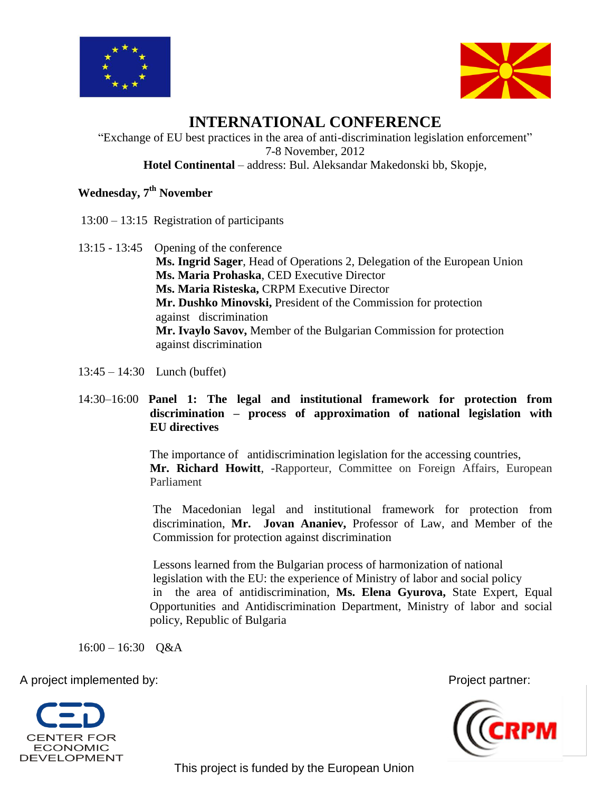



# **INTERNATIONAL CONFERENCE**

"Exchange of EU best practices in the area of anti-discrimination legislation enforcement" 7-8 November, 2012 **Hotel Continental** – address: Bul. Aleksandar Makedonski bb, Skopje,

## **Wednesday, 7th November**

- 13:00 13:15 Registration of participants
- 13:15 13:45 Opening of the conference **Ms. Ingrid Sager**, Head of Operations 2, Delegation of the European Union **Ms. Maria Prohaska**, CED Executive Director **Ms. Maria Risteska,** CRPM Executive Director **Mr. Dushko Minovski,** President of the Commission for protection against discrimination **Mr. Ivaylo Savov,** Member of the Bulgarian Commission for protection against discrimination
- 13:45 14:30 Lunch (buffet)
- 14:30–16:00 **Panel 1: The legal and institutional framework for protection from discrimination – process of approximation of national legislation with EU directives**

The importance of antidiscrimination legislation for the accessing countries, **Mr. Richard Howitt**, -Rapporteur, Committee on Foreign Affairs, European Parliament

The Macedonian legal and institutional framework for protection from discrimination, **Mr. Jovan Ananiev,** Professor of Law, and Member of the Commission for protection against discrimination

Lessons learned from the Bulgarian process of harmonization of national legislation with the EU: the experience of Ministry of labor and social policy in the area of antidiscrimination, **Ms. Elena Gyurova,** State Expert, Equal Opportunities and Antidiscrimination Department, Ministry of labor and social policy, Republic of Bulgaria

16:00 – 16:30 Q&A

A project implemented by: Project partner:





This project is funded by the European Union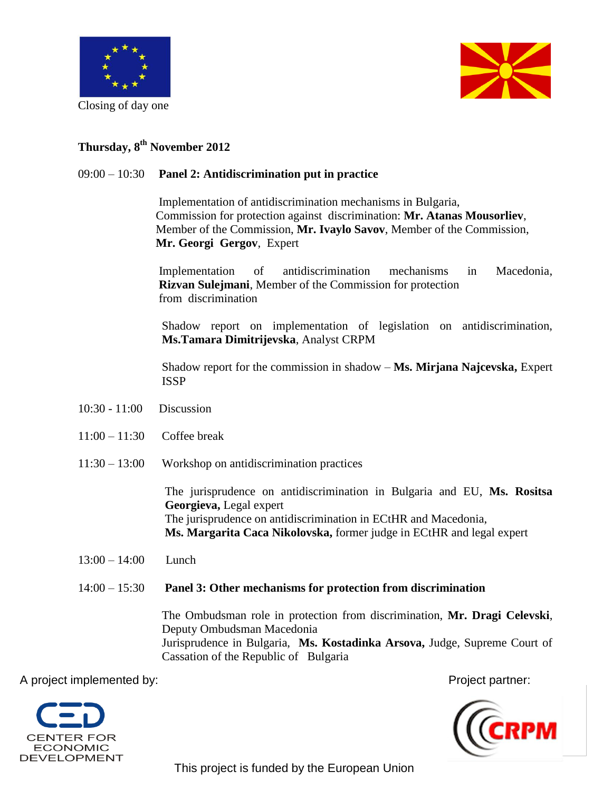

Closing of day one



## **Thursday, 8th November 2012**

#### 09:00 – 10:30 **Panel 2: Antidiscrimination put in practice**

Implementation of antidiscrimination mechanisms in Bulgaria, Commission for protection against discrimination: **Mr. Atanas Mousorliev**, Member of the Commission, **Mr. Ivaylo Savov**, Member of the Commission,  **Mr. Georgi Gergov**, Expert

 Implementation of antidiscrimination mechanisms in Macedonia, **Rizvan Sulejmani**, Member of the Commission for protection from discrimination

Shadow report on implementation of legislation on antidiscrimination, **Ms.Tamara Dimitrijevska**, Analyst CRPM

Shadow report for the commission in shadow – **Ms. Mirjana Najcevska,** Expert ISSP

- 10:30 11:00 Discussion
- 11:00 11:30 Coffee break
- 11:30 13:00 Workshop on antidiscrimination practices

The jurisprudence on antidiscrimination in Bulgaria and EU, **Ms. Rositsa Georgieva,** Legal expert The jurisprudence on antidiscrimination in ECtHR and Macedonia, **Ms. Margarita Caca Nikolovska,** former judge in ECtHR and legal expert

13:00 – 14:00 Lunch

#### 14:00 – 15:30 **Panel 3: Other mechanisms for protection from discrimination**

The Ombudsman role in protection from discrimination, **Mr. Dragi Celevski**, Deputy Ombudsman Macedonia Jurisprudence in Bulgaria, **Ms. Kostadinka Arsova,** Judge, Supreme Court of Cassation of the Republic of Bulgaria

A project implemented by:  $\blacksquare$